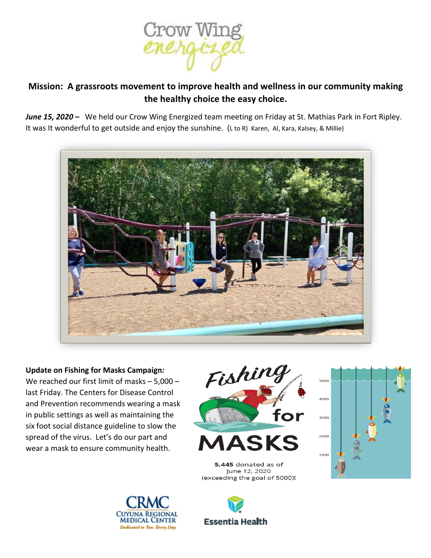

## **Mission: A grassroots movement to improve health and wellness in our community making the healthy choice the easy choice.**

*June 15, 2020 –* We held our Crow Wing Energized team meeting on Friday at St. Mathias Park in Fort Ripley. It was It wonderful to get outside and enjoy the sunshine. (L to R) Karen, Al, Kara, Kalsey, & Millie)



**Update on Fishing for Masks Campaign***:*  We reached our first limit of masks – 5,000 – last Friday. The Centers for Disease Control and Prevention recommends wearing a mask in public settings as well as maintaining the six foot social distance guideline to slow the spread of the virus. Let's do our part and wear a mask to ensure community health.





5,445 donated as of June 12, 2020 (exceeding the goal of 5000)!